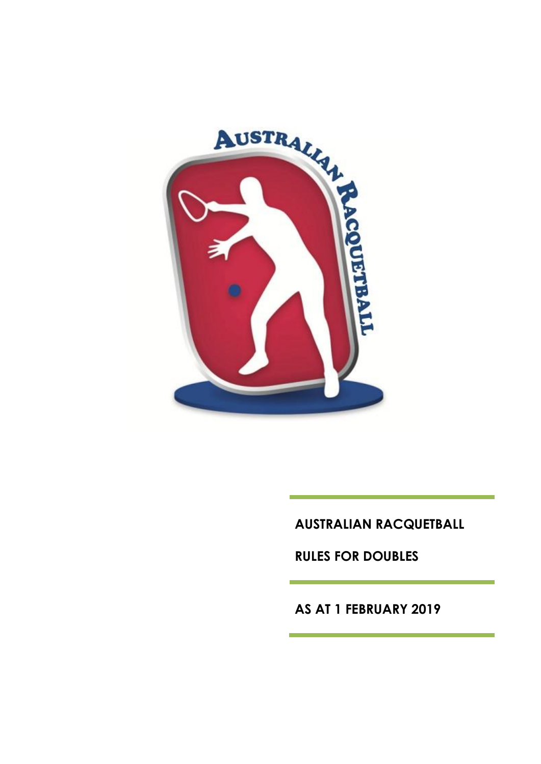

**AUSTRALIAN RACQUETBALL**

**RULES FOR DOUBLES**

**AS AT 1 FEBRUARY 2019**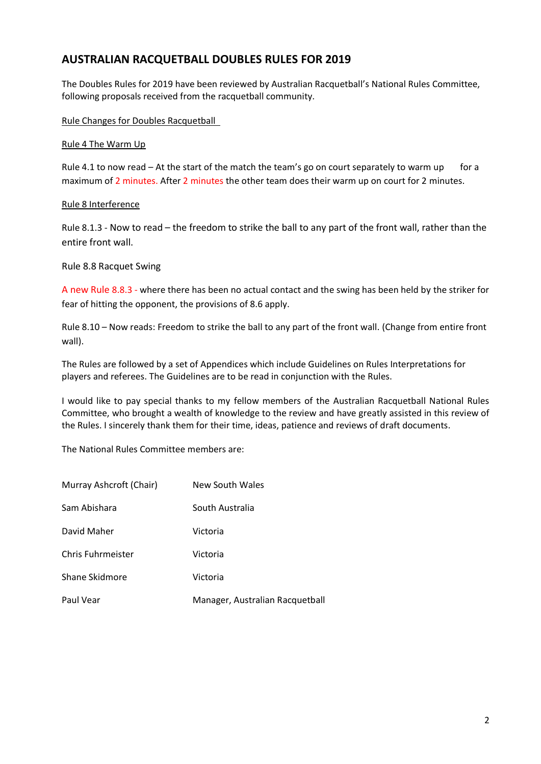## **AUSTRALIAN RACQUETBALL DOUBLES RULES FOR 2019**

The Doubles Rules for 2019 have been reviewed by Australian Racquetball's National Rules Committee, following proposals received from the racquetball community.

#### Rule Changes for Doubles Racquetball

#### Rule 4 The Warm Up

Rule 4.1 to now read  $-$  At the start of the match the team's go on court separately to warm up for a maximum of 2 minutes. After 2 minutes the other team does their warm up on court for 2 minutes.

#### Rule 8 Interference

Rule 8.1.3 - Now to read – the freedom to strike the ball to any part of the front wall, rather than the entire front wall.

#### Rule 8.8 Racquet Swing

A new Rule 8.8.3 - where there has been no actual contact and the swing has been held by the striker for fear of hitting the opponent, the provisions of 8.6 apply.

Rule 8.10 – Now reads: Freedom to strike the ball to any part of the front wall. (Change from entire front wall).

The Rules are followed by a set of Appendices which include Guidelines on Rules Interpretations for players and referees. The Guidelines are to be read in conjunction with the Rules.

I would like to pay special thanks to my fellow members of the Australian Racquetball National Rules Committee, who brought a wealth of knowledge to the review and have greatly assisted in this review of the Rules. I sincerely thank them for their time, ideas, patience and reviews of draft documents.

The National Rules Committee members are:

| Murray Ashcroft (Chair) | <b>New South Wales</b>          |
|-------------------------|---------------------------------|
| Sam Abishara            | South Australia                 |
| David Maher             | Victoria                        |
| Chris Fuhrmeister       | Victoria                        |
| Shane Skidmore          | Victoria                        |
| Paul Vear               | Manager, Australian Racquetball |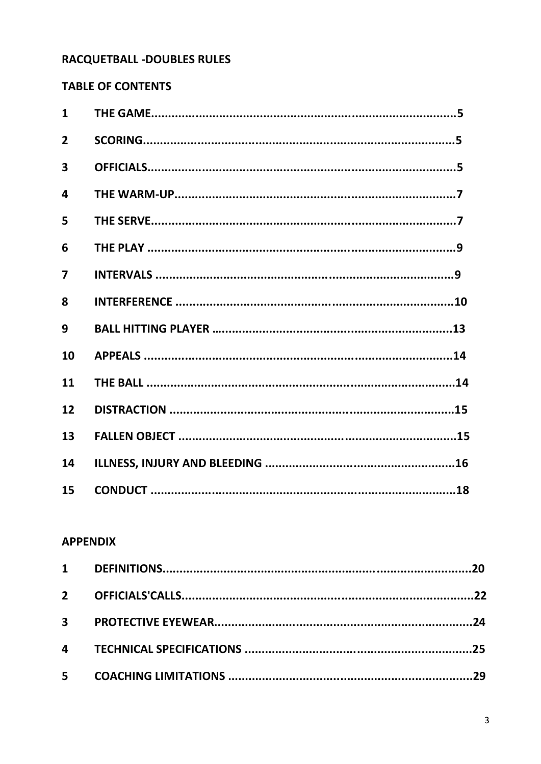# RACQUETBALL -DOUBLES RULES

# **TABLE OF CONTENTS**

| $\mathbf{1}$            |  |
|-------------------------|--|
| $\overline{2}$          |  |
| $\overline{\mathbf{3}}$ |  |
| 4                       |  |
| 5                       |  |
| 6                       |  |
| $\overline{\mathbf{z}}$ |  |
| 8                       |  |
| 9                       |  |
| 10                      |  |
| 11                      |  |
| 12                      |  |
| 13                      |  |
| 14                      |  |
| 15                      |  |

### **APPENDIX**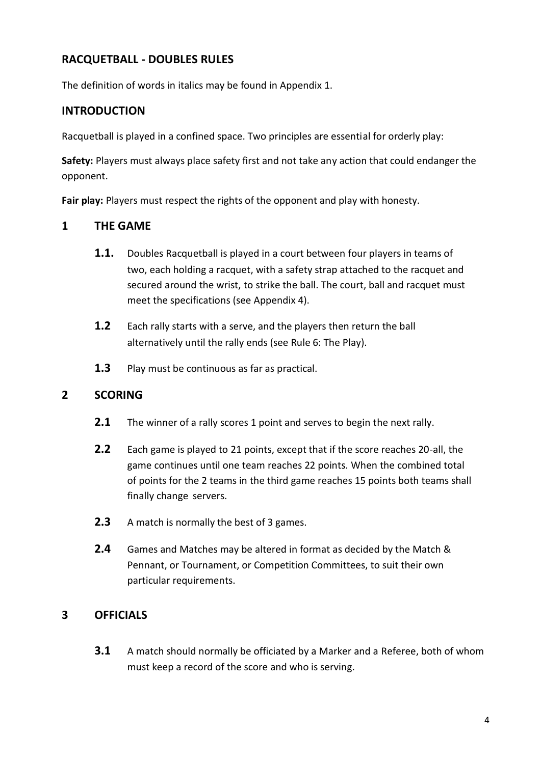## **RACQUETBALL - DOUBLES RULES**

The definition of words in italics may be found in Appendix 1.

## **INTRODUCTION**

Racquetball is played in a confined space. Two principles are essential for orderly play:

**Safety:** Players must always place safety first and not take any action that could endanger the opponent.

**Fair play:** Players must respect the rights of the opponent and play with honesty.

### **1 THE GAME**

- **1.1.** Doubles Racquetball is played in a court between four players in teams of two, each holding a racquet, with a safety strap attached to the racquet and secured around the wrist, to strike the ball. The court, ball and racquet must meet the specifications (see Appendix 4).
- **1.2** Each rally starts with a serve, and the players then return the ball alternatively until the rally ends (see Rule 6: The Play).
- **1.3** Play must be continuous as far as practical.

## **2 SCORING**

- **2.1** The winner of a rally scores 1 point and serves to begin the next rally.
- **2.2** Each game is played to 21 points, except that if the score reaches 20-all, the game continues until one team reaches 22 points. When the combined total of points for the 2 teams in the third game reaches 15 points both teams shall finally change servers.
- **2.3** A match is normally the best of 3 games.
- **2.4** Games and Matches may be altered in format as decided by the Match & Pennant, or Tournament, or Competition Committees, to suit their own particular requirements.

## **3 OFFICIALS**

**3.1** A match should normally be officiated by a Marker and a Referee, both of whom must keep a record of the score and who is serving.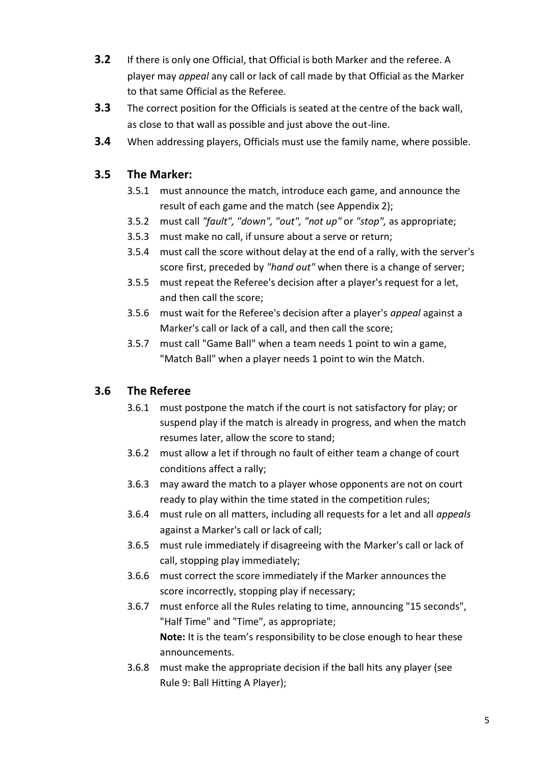- **3.2** If there is only one Official, that Official is both Marker and the referee. A player may *appeal* any call or lack of call made by that Official as the Marker to that same Official as the Referee.
- **3.3** The correct position for the Officials is seated at the centre of the back wall, as close to that wall as possible and just above the out-line.
- **3.4** When addressing players, Officials must use the family name, where possible.

## **3.5 The Marker:**

- 3.5.1 must announce the match, introduce each game, and announce the result of each game and the match (see Appendix 2);
- 3.5.2 must call *"fault", "down", "out", "not up"* or *"stop",* as appropriate;
- 3.5.3 must make no call, if unsure about a serve or return;
- 3.5.4 must call the score without delay at the end of a rally, with the server's score first, preceded by *"hand out"* when there is a change of server;
- 3.5.5 must repeat the Referee's decision after a player's request for a let, and then call the score;
- 3.5.6 must wait for the Referee's decision after a player's *appeal* against a Marker's call or lack of a call, and then call the score;
- 3.5.7 must call "Game Ball" when a team needs 1 point to win a game, "Match Ball" when a player needs 1 point to win the Match.

# **3.6 The Referee**

- 3.6.1 must postpone the match if the court is not satisfactory for play; or suspend play if the match is already in progress, and when the match resumes later, allow the score to stand;
- 3.6.2 must allow a let if through no fault of either team a change of court conditions affect a rally;
- 3.6.3 may award the match to a player whose opponents are not on court ready to play within the time stated in the competition rules;
- 3.6.4 must rule on all matters, including all requests for a let and all *appeals* against a Marker's call or lack of call;
- 3.6.5 must rule immediately if disagreeing with the Marker's call or lack of call, stopping play immediately;
- 3.6.6 must correct the score immediately if the Marker announces the score incorrectly, stopping play if necessary;
- 3.6.7 must enforce all the Rules relating to time, announcing "15 seconds", "Half Time" and "Time", as appropriate; **Note:** It is the team's responsibility to be close enough to hear these announcements.
- 3.6.8 must make the appropriate decision if the ball hits any player (see Rule 9: Ball Hitting A Player);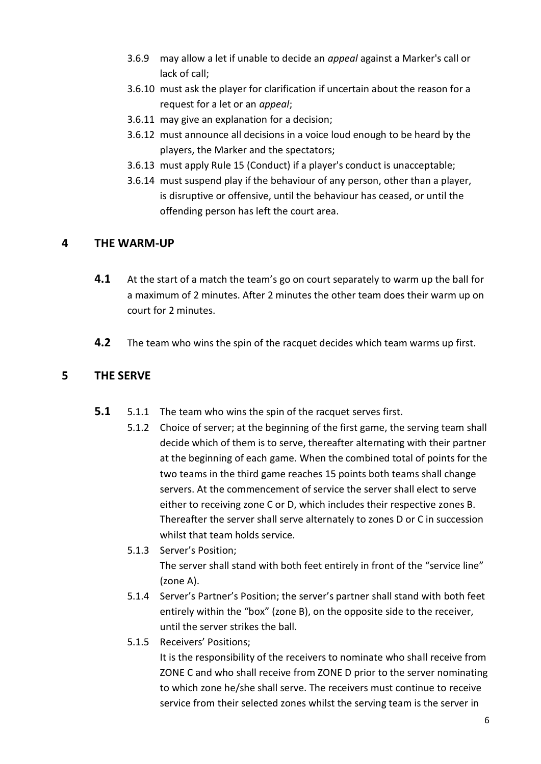- 3.6.9 may allow a let if unable to decide an *appeal* against a Marker's call or lack of call;
- 3.6.10 must ask the player for clarification if uncertain about the reason for a request for a let or an *appeal*;
- 3.6.11 may give an explanation for a decision;
- 3.6.12 must announce all decisions in a voice loud enough to be heard by the players, the Marker and the spectators;
- 3.6.13 must apply Rule 15 (Conduct) if a player's conduct is unacceptable;
- 3.6.14 must suspend play if the behaviour of any person, other than a player, is disruptive or offensive, until the behaviour has ceased, or until the offending person has left the court area.

## **4 THE WARM-UP**

- **4.1** At the start of a match the team's go on court separately to warm up the ball for a maximum of 2 minutes. After 2 minutes the other team does their warm up on court for 2 minutes.
- **4.2** The team who wins the spin of the racquet decides which team warms up first.

## **5 THE SERVE**

- **5.1** 5.1.1 The team who wins the spin of the racquet serves first.
	- 5.1.2 Choice of server; at the beginning of the first game, the serving team shall decide which of them is to serve, thereafter alternating with their partner at the beginning of each game. When the combined total of points for the two teams in the third game reaches 15 points both teams shall change servers. At the commencement of service the server shall elect to serve either to receiving zone C or D, which includes their respective zones B. Thereafter the server shall serve alternately to zones D or C in succession whilst that team holds service.
	- 5.1.3 Server's Position; The server shall stand with both feet entirely in front of the "service line" (zone A).
	- 5.1.4 Server's Partner's Position; the server's partner shall stand with both feet entirely within the "box" (zone B), on the opposite side to the receiver, until the server strikes the ball.
	- 5.1.5 Receivers' Positions;

It is the responsibility of the receivers to nominate who shall receive from ZONE C and who shall receive from ZONE D prior to the server nominating to which zone he/she shall serve. The receivers must continue to receive service from their selected zones whilst the serving team is the server in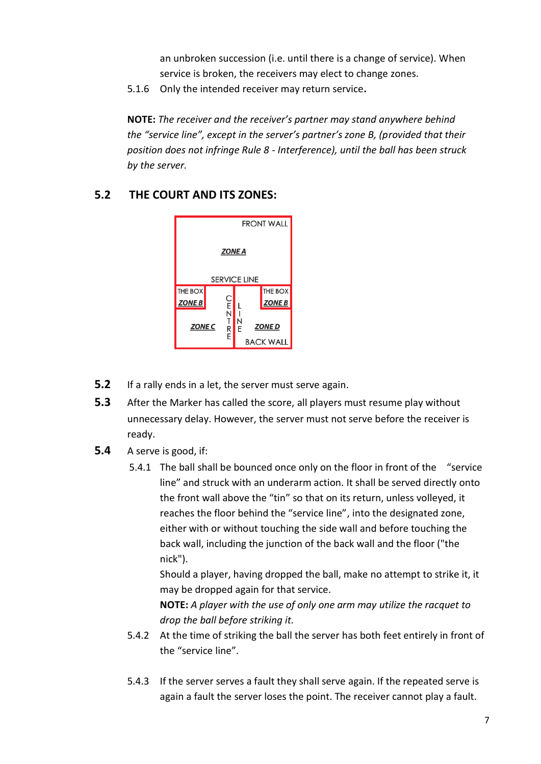an unbroken succession (i.e. until there is a change of service). When service is broken, the receivers may elect to change zones.

5.1.6 Only the intended receiver may return service**.**

**NOTE:** *The receiver and the receiver's partner may stand anywhere behind the "service line", except in the server's partner's zone B, (provided that their position does not infringe Rule 8 - Interference), until the ball has been struck by the server.*

## **5.2 THE COURT AND ITS ZONES:**



- **5.2** If a rally ends in a let, the server must serve again.
- **5.3** After the Marker has called the score, all players must resume play without unnecessary delay. However, the server must not serve before the receiver is ready.
- **5.4** A serve is good, if:
	- 5.4.1 The ball shall be bounced once only on the floor in front of the "service line" and struck with an underarm action. It shall be served directly onto the front wall above the "tin" so that on its return, unless volleyed, it reaches the floor behind the "service line", into the designated zone, either with or without touching the side wall and before touching the back wall, including the junction of the back wall and the floor ("the nick").

Should a player, having dropped the ball, make no attempt to strike it, it may be dropped again for that service.

**NOTE:** *A player with the use of only one arm may utilize the racquet to drop the ball before striking it.*

- 5.4.2 At the time of striking the ball the server has both feet entirely in front of the "service line".
- 5.4.3 If the server serves a fault they shall serve again. If the repeated serve is again a fault the server loses the point. The receiver cannot play a fault.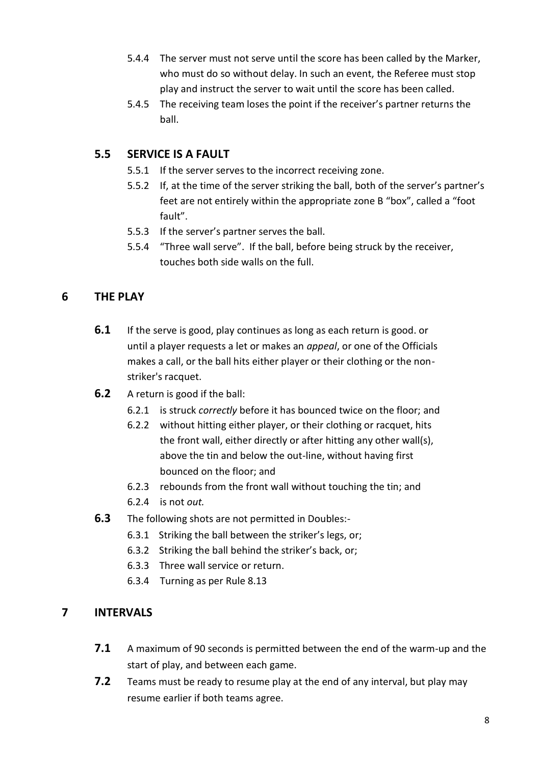- 5.4.4 The server must not serve until the score has been called by the Marker, who must do so without delay. In such an event, the Referee must stop play and instruct the server to wait until the score has been called.
- 5.4.5 The receiving team loses the point if the receiver's partner returns the ball.

# **5.5 SERVICE IS A FAULT**

- 5.5.1 If the server serves to the incorrect receiving zone.
- 5.5.2 If, at the time of the server striking the ball, both of the server's partner's feet are not entirely within the appropriate zone B "box", called a "foot fault".
- 5.5.3 If the server's partner serves the ball.
- 5.5.4 "Three wall serve". If the ball, before being struck by the receiver, touches both side walls on the full.

## **6 THE PLAY**

- **6.1** If the serve is good, play continues as long as each return is good. or until a player requests a let or makes an *appeal*, or one of the Officials makes a call, or the ball hits either player or their clothing or the nonstriker's racquet.
- **6.2** A return is good if the ball:
	- 6.2.1 is struck *correctly* before it has bounced twice on the floor; and
	- 6.2.2 without hitting either player, or their clothing or racquet, hits the front wall, either directly or after hitting any other wall(s), above the tin and below the out-line, without having first bounced on the floor; and
	- 6.2.3 rebounds from the front wall without touching the tin; and
	- 6.2.4 is not *out.*
- **6.3** The following shots are not permitted in Doubles:-
	- 6.3.1 Striking the ball between the striker's legs, or;
	- 6.3.2 Striking the ball behind the striker's back, or;
	- 6.3.3 Three wall service or return.
	- 6.3.4 Turning as per Rule 8.13

## **7 INTERVALS**

- **7.1** A maximum of 90 seconds is permitted between the end of the warm-up and the start of play, and between each game.
- **7.2** Teams must be ready to resume play at the end of any interval, but play may resume earlier if both teams agree.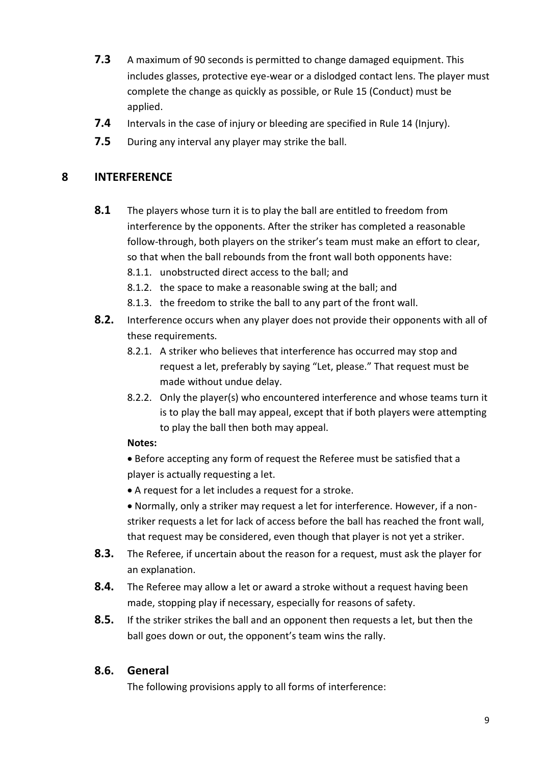- **7.3** A maximum of 90 seconds is permitted to change damaged equipment. This includes glasses, protective eye-wear or a dislodged contact lens. The player must complete the change as quickly as possible, or Rule 15 (Conduct) must be applied.
- **7.4** Intervals in the case of injury or bleeding are specified in Rule 14 (Injury).
- **7.5** During any interval any player may strike the ball.

### **8 INTERFERENCE**

- **8.1** The players whose turn it is to play the ball are entitled to freedom from interference by the opponents. After the striker has completed a reasonable follow-through, both players on the striker's team must make an effort to clear, so that when the ball rebounds from the front wall both opponents have:
	- 8.1.1. unobstructed direct access to the ball; and
	- 8.1.2. the space to make a reasonable swing at the ball; and
	- 8.1.3. the freedom to strike the ball to any part of the front wall.
- **8.2.** Interference occurs when any player does not provide their opponents with all of these requirements.
	- 8.2.1. A striker who believes that interference has occurred may stop and request a let, preferably by saying "Let, please." That request must be made without undue delay.
	- 8.2.2. Only the player(s) who encountered interference and whose teams turn it is to play the ball may appeal, except that if both players were attempting to play the ball then both may appeal.

#### **Notes:**

- Before accepting any form of request the Referee must be satisfied that a player is actually requesting a let.
- A request for a let includes a request for a stroke.
- Normally, only a striker may request a let for interference. However, if a nonstriker requests a let for lack of access before the ball has reached the front wall, that request may be considered, even though that player is not yet a striker.
- **8.3.** The Referee, if uncertain about the reason for a request, must ask the player for an explanation.
- **8.4.** The Referee may allow a let or award a stroke without a request having been made, stopping play if necessary, especially for reasons of safety.
- **8.5.** If the striker strikes the ball and an opponent then requests a let, but then the ball goes down or out, the opponent's team wins the rally.

### **8.6. General**

The following provisions apply to all forms of interference: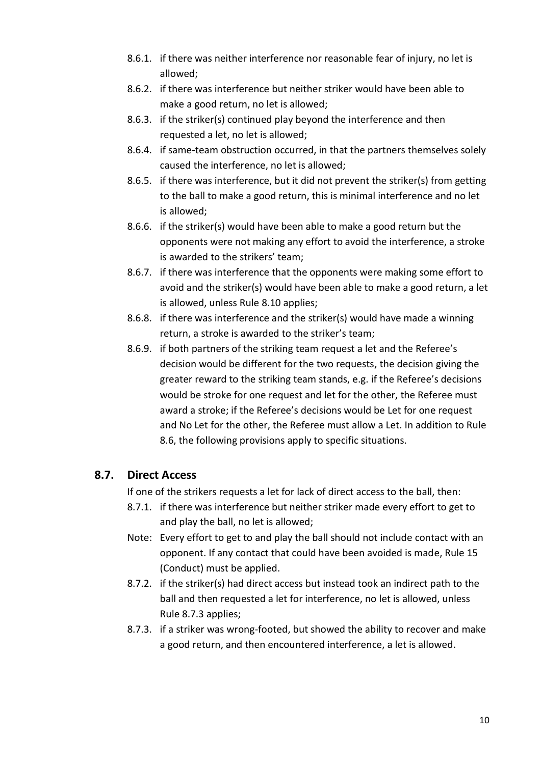- 8.6.1. if there was neither interference nor reasonable fear of injury, no let is allowed;
- 8.6.2. if there was interference but neither striker would have been able to make a good return, no let is allowed;
- 8.6.3. if the striker(s) continued play beyond the interference and then requested a let, no let is allowed;
- 8.6.4. if same-team obstruction occurred, in that the partners themselves solely caused the interference, no let is allowed;
- 8.6.5. if there was interference, but it did not prevent the striker(s) from getting to the ball to make a good return, this is minimal interference and no let is allowed;
- 8.6.6. if the striker(s) would have been able to make a good return but the opponents were not making any effort to avoid the interference, a stroke is awarded to the strikers' team;
- 8.6.7. if there was interference that the opponents were making some effort to avoid and the striker(s) would have been able to make a good return, a let is allowed, unless Rule 8.10 applies;
- 8.6.8. if there was interference and the striker(s) would have made a winning return, a stroke is awarded to the striker's team;
- 8.6.9. if both partners of the striking team request a let and the Referee's decision would be different for the two requests, the decision giving the greater reward to the striking team stands, e.g. if the Referee's decisions would be stroke for one request and let for the other, the Referee must award a stroke; if the Referee's decisions would be Let for one request and No Let for the other, the Referee must allow a Let. In addition to Rule 8.6, the following provisions apply to specific situations.

## **8.7. Direct Access**

If one of the strikers requests a let for lack of direct access to the ball, then:

- 8.7.1. if there was interference but neither striker made every effort to get to and play the ball, no let is allowed;
- Note: Every effort to get to and play the ball should not include contact with an opponent. If any contact that could have been avoided is made, Rule 15 (Conduct) must be applied.
- 8.7.2. if the striker(s) had direct access but instead took an indirect path to the ball and then requested a let for interference, no let is allowed, unless Rule 8.7.3 applies;
- 8.7.3. if a striker was wrong-footed, but showed the ability to recover and make a good return, and then encountered interference, a let is allowed.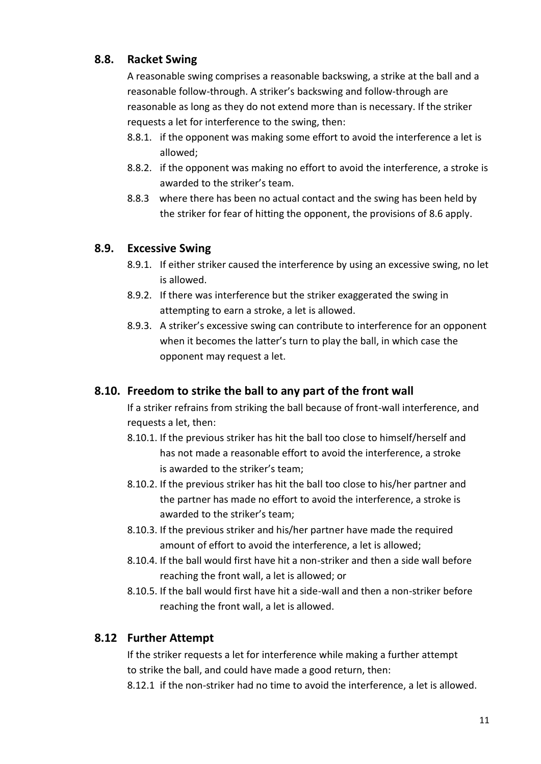## **8.8. Racket Swing**

A reasonable swing comprises a reasonable backswing, a strike at the ball and a reasonable follow-through. A striker's backswing and follow-through are reasonable as long as they do not extend more than is necessary. If the striker requests a let for interference to the swing, then:

- 8.8.1. if the opponent was making some effort to avoid the interference a let is allowed;
- 8.8.2. if the opponent was making no effort to avoid the interference, a stroke is awarded to the striker's team.
- 8.8.3 where there has been no actual contact and the swing has been held by the striker for fear of hitting the opponent, the provisions of 8.6 apply.

## **8.9. Excessive Swing**

- 8.9.1. If either striker caused the interference by using an excessive swing, no let is allowed.
- 8.9.2. If there was interference but the striker exaggerated the swing in attempting to earn a stroke, a let is allowed.
- 8.9.3. A striker's excessive swing can contribute to interference for an opponent when it becomes the latter's turn to play the ball, in which case the opponent may request a let.

# **8.10. Freedom to strike the ball to any part of the front wall**

If a striker refrains from striking the ball because of front-wall interference, and requests a let, then:

- 8.10.1. If the previous striker has hit the ball too close to himself/herself and has not made a reasonable effort to avoid the interference, a stroke is awarded to the striker's team;
- 8.10.2. If the previous striker has hit the ball too close to his/her partner and the partner has made no effort to avoid the interference, a stroke is awarded to the striker's team;
- 8.10.3. If the previous striker and his/her partner have made the required amount of effort to avoid the interference, a let is allowed;
- 8.10.4. If the ball would first have hit a non-striker and then a side wall before reaching the front wall, a let is allowed; or
- 8.10.5. If the ball would first have hit a side-wall and then a non-striker before reaching the front wall, a let is allowed.

# **8.12 Further Attempt**

If the striker requests a let for interference while making a further attempt to strike the ball, and could have made a good return, then:

8.12.1 if the non-striker had no time to avoid the interference, a let is allowed.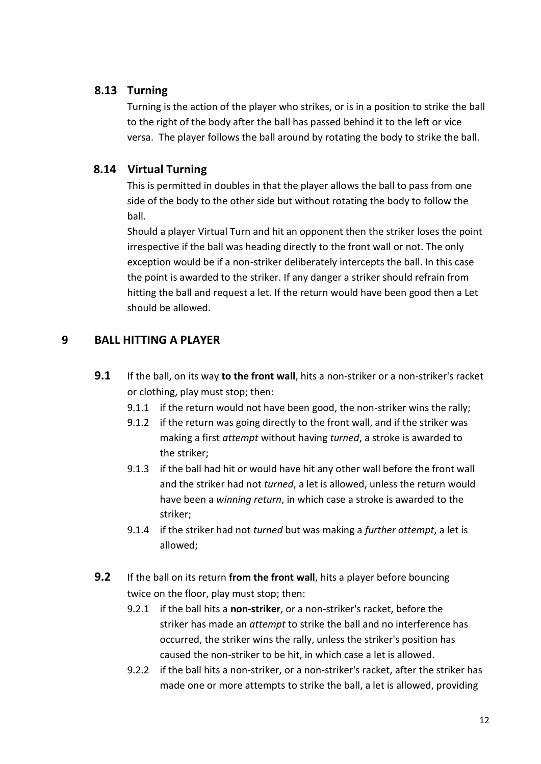### **8.13 Turning**

Turning is the action of the player who strikes, or is in a position to strike the ball to the right of the body after the ball has passed behind it to the left or vice versa. The player follows the ball around by rotating the body to strike the ball.

## **8.14 Virtual Turning**

This is permitted in doubles in that the player allows the ball to pass from one side of the body to the other side but without rotating the body to follow the ball.

Should a player Virtual Turn and hit an opponent then the striker loses the point irrespective if the ball was heading directly to the front wall or not. The only exception would be if a non-striker deliberately intercepts the ball. In this case the point is awarded to the striker. If any danger a striker should refrain from hitting the ball and request a let. If the return would have been good then a Let should be allowed.

# **9 BALL HITTING A PLAYER**

- **9.1** If the ball, on its way **to the front wall**, hits a non-striker or a non-striker's racket or clothing, play must stop; then:
	- 9.1.1 if the return would not have been good, the non-striker wins the rally;
	- 9.1.2 if the return was going directly to the front wall, and if the striker was making a first *attempt* without having *turned*, a stroke is awarded to the striker;
	- 9.1.3 if the ball had hit or would have hit any other wall before the front wall and the striker had not *turned*, a let is allowed, unless the return would have been a *winning return*, in which case a stroke is awarded to the striker;
	- 9.1.4 if the striker had not *turned* but was making a *further attempt*, a let is allowed;
- **9.2** If the ball on its return **from the front wall**, hits a player before bouncing twice on the floor, play must stop; then:
	- 9.2.1 if the ball hits a **non-striker**, or a non-striker's racket, before the striker has made an *attempt* to strike the ball and no interference has occurred, the striker wins the rally, unless the striker's position has caused the non-striker to be hit, in which case a let is allowed.
	- 9.2.2 if the ball hits a non-striker, or a non-striker's racket, after the striker has made one or more attempts to strike the ball, a let is allowed, providing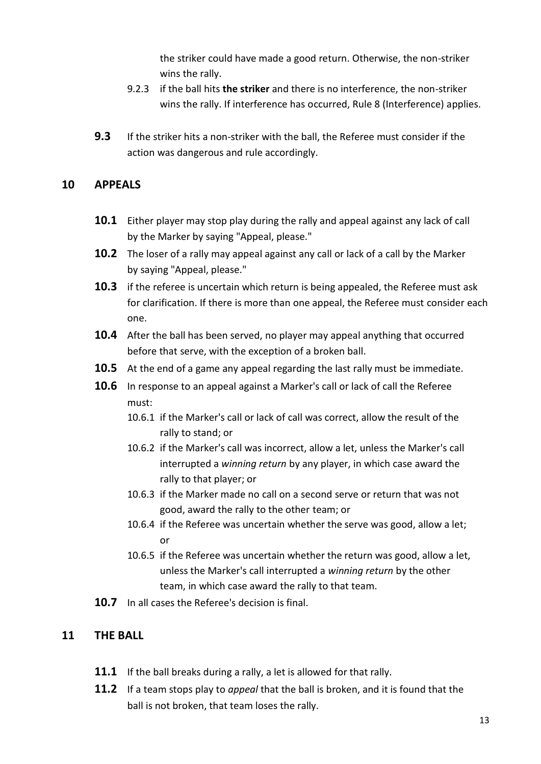the striker could have made a good return. Otherwise, the non-striker wins the rally.

- 9.2.3 if the ball hits **the striker** and there is no interference, the non-striker wins the rally. If interference has occurred, Rule 8 (Interference) applies.
- **9.3** If the striker hits a non-striker with the ball, the Referee must consider if the action was dangerous and rule accordingly.

### **10 APPEALS**

- **10.1** Either player may stop play during the rally and appeal against any lack of call by the Marker by saying "Appeal, please."
- **10.2** The loser of a rally may appeal against any call or lack of a call by the Marker by saying "Appeal, please."
- **10.3** if the referee is uncertain which return is being appealed, the Referee must ask for clarification. If there is more than one appeal, the Referee must consider each one.
- **10.4** After the ball has been served, no player may appeal anything that occurred before that serve, with the exception of a broken ball.
- **10.5** At the end of a game any appeal regarding the last rally must be immediate.
- **10.6** In response to an appeal against a Marker's call or lack of call the Referee must:
	- 10.6.1 if the Marker's call or lack of call was correct, allow the result of the rally to stand; or
	- 10.6.2 if the Marker's call was incorrect, allow a let, unless the Marker's call interrupted a *winning return* by any player, in which case award the rally to that player; or
	- 10.6.3 if the Marker made no call on a second serve or return that was not good, award the rally to the other team; or
	- 10.6.4 if the Referee was uncertain whether the serve was good, allow a let; or
	- 10.6.5 if the Referee was uncertain whether the return was good, allow a let, unless the Marker's call interrupted a *winning return* by the other team, in which case award the rally to that team.
- **10.7** In all cases the Referee's decision is final.

### **11 THE BALL**

- **11.1** If the ball breaks during a rally, a let is allowed for that rally.
- **11.2** If a team stops play to *appeal* that the ball is broken, and it is found that the ball is not broken, that team loses the rally.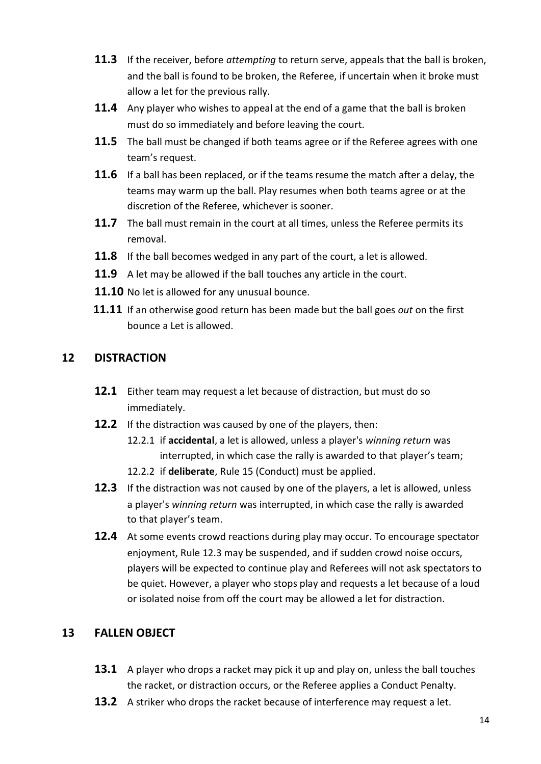- **11.3** If the receiver, before *attempting* to return serve, appeals that the ball is broken, and the ball is found to be broken, the Referee, if uncertain when it broke must allow a let for the previous rally.
- **11.4** Any player who wishes to appeal at the end of a game that the ball is broken must do so immediately and before leaving the court.
- **11.5** The ball must be changed if both teams agree or if the Referee agrees with one team's request.
- **11.6** If a ball has been replaced, or if the teams resume the match after a delay, the teams may warm up the ball. Play resumes when both teams agree or at the discretion of the Referee, whichever is sooner.
- **11.7** The ball must remain in the court at all times, unless the Referee permits its removal.
- **11.8** If the ball becomes wedged in any part of the court, a let is allowed.
- **11.9** A let may be allowed if the ball touches any article in the court.
- **11.10** No let is allowed for any unusual bounce.
- **11.11** If an otherwise good return has been made but the ball goes *out* on the first bounce a Let is allowed.

### **12 DISTRACTION**

- **12.1** Either team may request a let because of distraction, but must do so immediately.
- **12.2** If the distraction was caused by one of the players, then:
	- 12.2.1 if **accidental**, a let is allowed, unless a player's *winning return* was interrupted, in which case the rally is awarded to that player's team;
	- 12.2.2 if **deliberate**, Rule 15 (Conduct) must be applied.
- **12.3** If the distraction was not caused by one of the players, a let is allowed, unless a player's *winning return* was interrupted, in which case the rally is awarded to that player's team.
- **12.4** At some events crowd reactions during play may occur. To encourage spectator enjoyment, Rule 12.3 may be suspended, and if sudden crowd noise occurs, players will be expected to continue play and Referees will not ask spectators to be quiet. However, a player who stops play and requests a let because of a loud or isolated noise from off the court may be allowed a let for distraction.

## **13 FALLEN OBJECT**

- **13.1** A player who drops a racket may pick it up and play on, unless the ball touches the racket, or distraction occurs, or the Referee applies a Conduct Penalty.
- **13.2** A striker who drops the racket because of interference may request a let.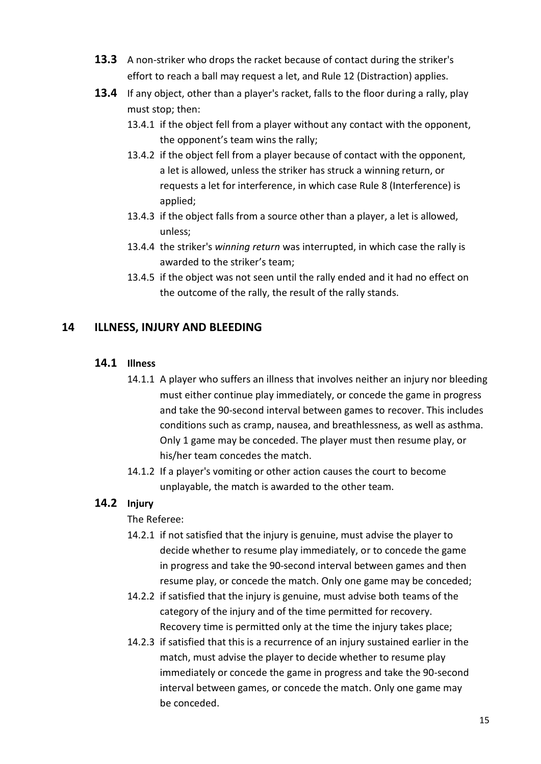- **13.3** A non-striker who drops the racket because of contact during the striker's effort to reach a ball may request a let, and Rule 12 (Distraction) applies.
- **13.4** If any object, other than a player's racket, falls to the floor during a rally, play must stop; then:
	- 13.4.1 if the object fell from a player without any contact with the opponent, the opponent's team wins the rally;
	- 13.4.2 if the object fell from a player because of contact with the opponent, a let is allowed, unless the striker has struck a winning return, or requests a let for interference, in which case Rule 8 (Interference) is applied;
	- 13.4.3 if the object falls from a source other than a player, a let is allowed, unless;
	- 13.4.4 the striker's *winning return* was interrupted, in which case the rally is awarded to the striker's team;
	- 13.4.5 if the object was not seen until the rally ended and it had no effect on the outcome of the rally, the result of the rally stands.

## **14 ILLNESS, INJURY AND BLEEDING**

## **14.1 Illness**

- 14.1.1 A player who suffers an illness that involves neither an injury nor bleeding must either continue play immediately, or concede the game in progress and take the 90-second interval between games to recover. This includes conditions such as cramp, nausea, and breathlessness, as well as asthma. Only 1 game may be conceded. The player must then resume play, or his/her team concedes the match.
- 14.1.2 If a player's vomiting or other action causes the court to become unplayable, the match is awarded to the other team.

## **14.2 Injury**

## The Referee:

- 14.2.1 if not satisfied that the injury is genuine, must advise the player to decide whether to resume play immediately, or to concede the game in progress and take the 90-second interval between games and then resume play, or concede the match. Only one game may be conceded;
- 14.2.2 if satisfied that the injury is genuine, must advise both teams of the category of the injury and of the time permitted for recovery. Recovery time is permitted only at the time the injury takes place;
- 14.2.3 if satisfied that this is a recurrence of an injury sustained earlier in the match, must advise the player to decide whether to resume play immediately or concede the game in progress and take the 90-second interval between games, or concede the match. Only one game may be conceded.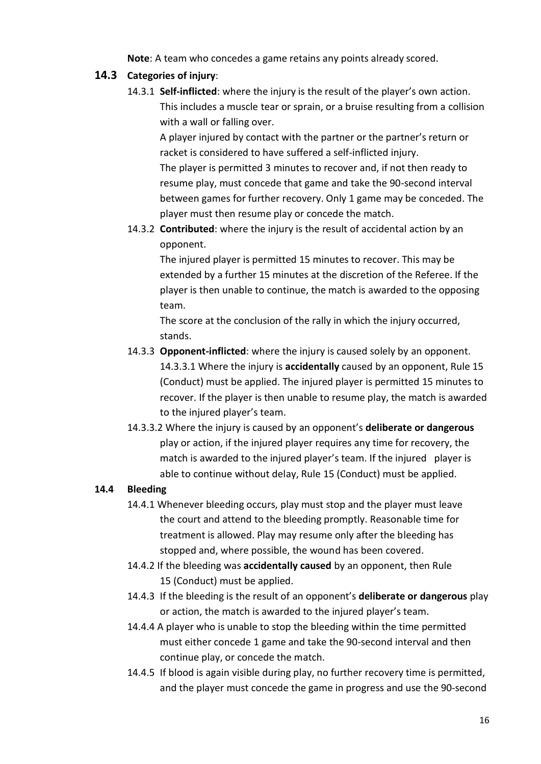**Note**: A team who concedes a game retains any points already scored.

### **14.3 Categories of injury**:

14.3.1 **Self-inflicted**: where the injury is the result of the player's own action. This includes a muscle tear or sprain, or a bruise resulting from a collision with a wall or falling over.

A player injured by contact with the partner or the partner's return or racket is considered to have suffered a self-inflicted injury. The player is permitted 3 minutes to recover and, if not then ready to resume play, must concede that game and take the 90-second interval between games for further recovery. Only 1 game may be conceded. The player must then resume play or concede the match.

14.3.2 **Contributed**: where the injury is the result of accidental action by an opponent.

The injured player is permitted 15 minutes to recover. This may be extended by a further 15 minutes at the discretion of the Referee. If the player is then unable to continue, the match is awarded to the opposing team.

The score at the conclusion of the rally in which the injury occurred, stands.

- 14.3.3 **Opponent-inflicted**: where the injury is caused solely by an opponent. 14.3.3.1 Where the injury is **accidentally** caused by an opponent, Rule 15 (Conduct) must be applied. The injured player is permitted 15 minutes to recover. If the player is then unable to resume play, the match is awarded to the injured player's team.
- 14.3.3.2 Where the injury is caused by an opponent's **deliberate or dangerous** play or action, if the injured player requires any time for recovery, the match is awarded to the injured player's team. If the injured player is able to continue without delay, Rule 15 (Conduct) must be applied.

### **14.4 Bleeding**

- 14.4.1 Whenever bleeding occurs, play must stop and the player must leave the court and attend to the bleeding promptly. Reasonable time for treatment is allowed. Play may resume only after the bleeding has stopped and, where possible, the wound has been covered.
- 14.4.2 If the bleeding was **accidentally caused** by an opponent, then Rule 15 (Conduct) must be applied.
- 14.4.3 If the bleeding is the result of an opponent's **deliberate or dangerous** play or action, the match is awarded to the injured player's team.
- 14.4.4 A player who is unable to stop the bleeding within the time permitted must either concede 1 game and take the 90-second interval and then continue play, or concede the match.
- 14.4.5 If blood is again visible during play, no further recovery time is permitted, and the player must concede the game in progress and use the 90-second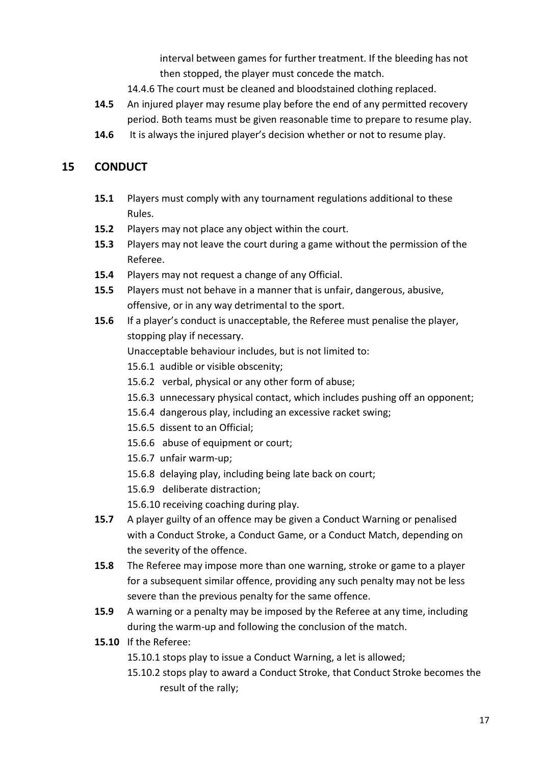interval between games for further treatment. If the bleeding has not then stopped, the player must concede the match.

- 14.4.6 The court must be cleaned and bloodstained clothing replaced.
- **14.5** An injured player may resume play before the end of any permitted recovery period. Both teams must be given reasonable time to prepare to resume play.
- **14.6** It is always the injured player's decision whether or not to resume play.

#### **15 CONDUCT**

- **15.1** Players must comply with any tournament regulations additional to these Rules.
- **15.2** Players may not place any object within the court.
- **15.3** Players may not leave the court during a game without the permission of the Referee.
- **15.4** Players may not request a change of any Official.
- **15.5** Players must not behave in a manner that is unfair, dangerous, abusive, offensive, or in any way detrimental to the sport.
- **15.6** If a player's conduct is unacceptable, the Referee must penalise the player, stopping play if necessary.

Unacceptable behaviour includes, but is not limited to:

- 15.6.1 audible or visible obscenity;
- 15.6.2 verbal, physical or any other form of abuse;
- 15.6.3 unnecessary physical contact, which includes pushing off an opponent;
- 15.6.4 dangerous play, including an excessive racket swing;
- 15.6.5 dissent to an Official;
- 15.6.6 abuse of equipment or court;
- 15.6.7 unfair warm-up;
- 15.6.8 delaying play, including being late back on court;
- 15.6.9 deliberate distraction;
- 15.6.10 receiving coaching during play.
- **15.7** A player guilty of an offence may be given a Conduct Warning or penalised with a Conduct Stroke, a Conduct Game, or a Conduct Match, depending on the severity of the offence.
- **15.8** The Referee may impose more than one warning, stroke or game to a player for a subsequent similar offence, providing any such penalty may not be less severe than the previous penalty for the same offence.
- **15.9** A warning or a penalty may be imposed by the Referee at any time, including during the warm-up and following the conclusion of the match.
- **15.10** If the Referee:
	- 15.10.1 stops play to issue a Conduct Warning, a let is allowed;
	- 15.10.2 stops play to award a Conduct Stroke, that Conduct Stroke becomes the result of the rally;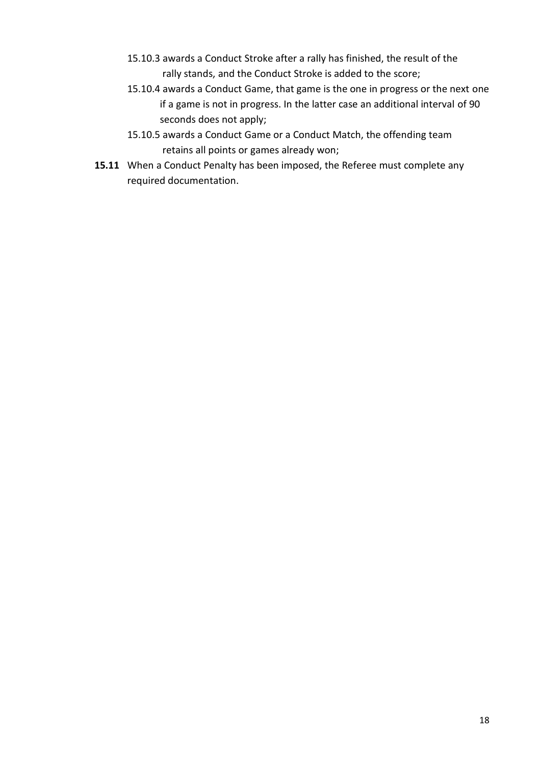- 15.10.3 awards a Conduct Stroke after a rally has finished, the result of the rally stands, and the Conduct Stroke is added to the score;
- 15.10.4 awards a Conduct Game, that game is the one in progress or the next one if a game is not in progress. In the latter case an additional interval of 90 seconds does not apply;
- 15.10.5 awards a Conduct Game or a Conduct Match, the offending team retains all points or games already won;
- **15.11** When a Conduct Penalty has been imposed, the Referee must complete any required documentation.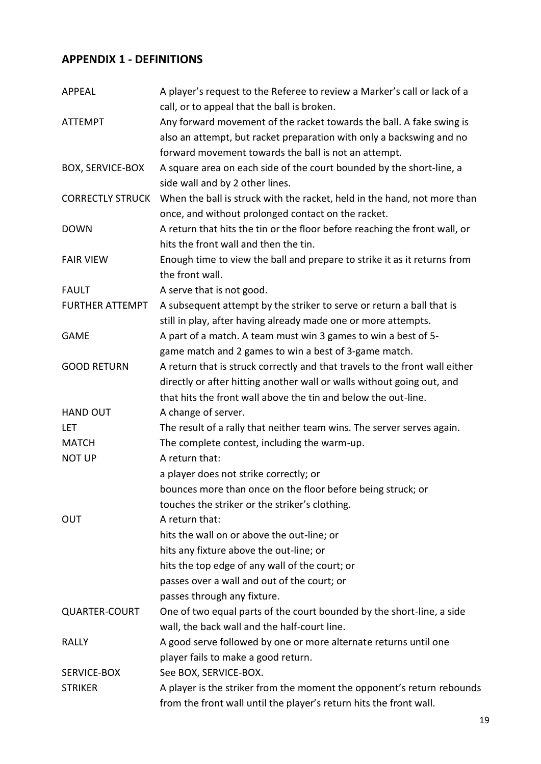# **APPENDIX 1 - DEFINITIONS**

| <b>APPEAL</b>           | A player's request to the Referee to review a Marker's call or lack of a<br>call, or to appeal that the ball is broken. |
|-------------------------|-------------------------------------------------------------------------------------------------------------------------|
| <b>ATTEMPT</b>          | Any forward movement of the racket towards the ball. A fake swing is                                                    |
|                         | also an attempt, but racket preparation with only a backswing and no                                                    |
|                         |                                                                                                                         |
|                         | forward movement towards the ball is not an attempt.                                                                    |
| <b>BOX, SERVICE-BOX</b> | A square area on each side of the court bounded by the short-line, a<br>side wall and by 2 other lines.                 |
| <b>CORRECTLY STRUCK</b> | When the ball is struck with the racket, held in the hand, not more than                                                |
|                         | once, and without prolonged contact on the racket.                                                                      |
| <b>DOWN</b>             | A return that hits the tin or the floor before reaching the front wall, or                                              |
|                         | hits the front wall and then the tin.                                                                                   |
| <b>FAIR VIEW</b>        | Enough time to view the ball and prepare to strike it as it returns from                                                |
|                         | the front wall.                                                                                                         |
| <b>FAULT</b>            | A serve that is not good.                                                                                               |
| <b>FURTHER ATTEMPT</b>  | A subsequent attempt by the striker to serve or return a ball that is                                                   |
|                         | still in play, after having already made one or more attempts.                                                          |
| <b>GAME</b>             | A part of a match. A team must win 3 games to win a best of 5-                                                          |
|                         | game match and 2 games to win a best of 3-game match.                                                                   |
| <b>GOOD RETURN</b>      | A return that is struck correctly and that travels to the front wall either                                             |
|                         | directly or after hitting another wall or walls without going out, and                                                  |
|                         | that hits the front wall above the tin and below the out-line.                                                          |
| <b>HAND OUT</b>         | A change of server.                                                                                                     |
| LET                     | The result of a rally that neither team wins. The server serves again.                                                  |
| <b>MATCH</b>            | The complete contest, including the warm-up.                                                                            |
| <b>NOT UP</b>           | A return that:                                                                                                          |
|                         | a player does not strike correctly; or                                                                                  |
|                         | bounces more than once on the floor before being struck; or                                                             |
|                         | touches the striker or the striker's clothing.                                                                          |
| <b>OUT</b>              | A return that:                                                                                                          |
|                         | hits the wall on or above the out-line; or                                                                              |
|                         | hits any fixture above the out-line; or                                                                                 |
|                         | hits the top edge of any wall of the court; or                                                                          |
|                         | passes over a wall and out of the court; or                                                                             |
|                         | passes through any fixture.                                                                                             |
| <b>QUARTER-COURT</b>    | One of two equal parts of the court bounded by the short-line, a side                                                   |
|                         | wall, the back wall and the half-court line.                                                                            |
| <b>RALLY</b>            | A good serve followed by one or more alternate returns until one                                                        |
|                         | player fails to make a good return.                                                                                     |
| SERVICE-BOX             | See BOX, SERVICE-BOX.                                                                                                   |
| <b>STRIKER</b>          | A player is the striker from the moment the opponent's return rebounds                                                  |
|                         | from the front wall until the player's return hits the front wall.                                                      |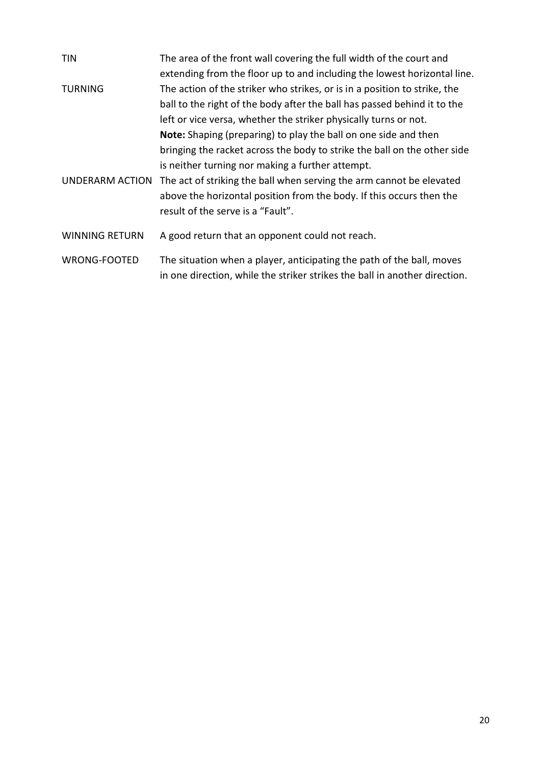| <b>TIN</b>            | The area of the front wall covering the full width of the court and        |
|-----------------------|----------------------------------------------------------------------------|
|                       | extending from the floor up to and including the lowest horizontal line.   |
| <b>TURNING</b>        | The action of the striker who strikes, or is in a position to strike, the  |
|                       | ball to the right of the body after the ball has passed behind it to the   |
|                       | left or vice versa, whether the striker physically turns or not.           |
|                       | Note: Shaping (preparing) to play the ball on one side and then            |
|                       | bringing the racket across the body to strike the ball on the other side   |
|                       | is neither turning nor making a further attempt.                           |
| UNDERARM ACTION       | The act of striking the ball when serving the arm cannot be elevated       |
|                       | above the horizontal position from the body. If this occurs then the       |
|                       | result of the serve is a "Fault".                                          |
| <b>WINNING RETURN</b> | A good return that an opponent could not reach.                            |
| WRONG-FOOTED          | The situation when a player, anticipating the path of the ball, moves      |
|                       | in one direction, while the striker strikes the ball in another direction. |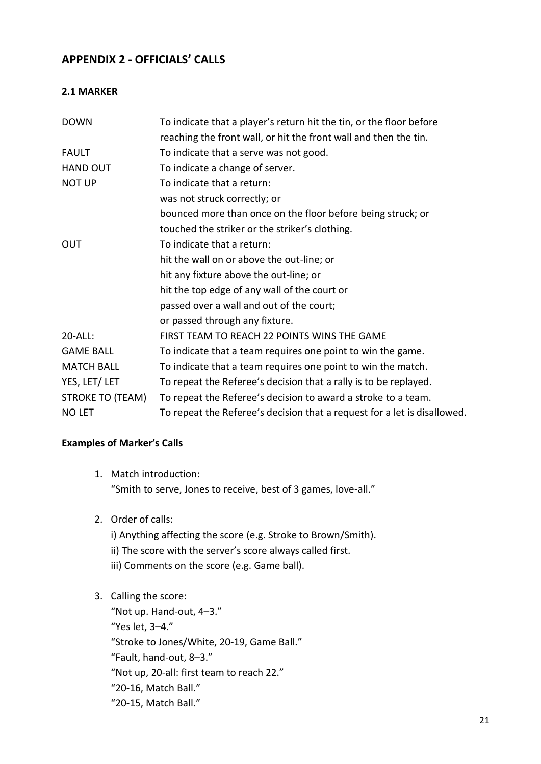## **APPENDIX 2 - OFFICIALS' CALLS**

#### **2.1 MARKER**

| <b>DOWN</b>             | To indicate that a player's return hit the tin, or the floor before      |
|-------------------------|--------------------------------------------------------------------------|
|                         | reaching the front wall, or hit the front wall and then the tin.         |
| <b>FAULT</b>            | To indicate that a serve was not good.                                   |
| <b>HAND OUT</b>         | To indicate a change of server.                                          |
| <b>NOT UP</b>           | To indicate that a return:                                               |
|                         | was not struck correctly; or                                             |
|                         | bounced more than once on the floor before being struck; or              |
|                         | touched the striker or the striker's clothing.                           |
| OUT                     | To indicate that a return:                                               |
|                         | hit the wall on or above the out-line; or                                |
|                         | hit any fixture above the out-line; or                                   |
|                         | hit the top edge of any wall of the court or                             |
|                         | passed over a wall and out of the court;                                 |
|                         | or passed through any fixture.                                           |
| 20-ALL:                 | FIRST TEAM TO REACH 22 POINTS WINS THE GAME                              |
| <b>GAME BALL</b>        | To indicate that a team requires one point to win the game.              |
| <b>MATCH BALL</b>       | To indicate that a team requires one point to win the match.             |
| YES, LET/LET            | To repeat the Referee's decision that a rally is to be replayed.         |
| <b>STROKE TO (TEAM)</b> | To repeat the Referee's decision to award a stroke to a team.            |
| <b>NO LET</b>           | To repeat the Referee's decision that a request for a let is disallowed. |

#### **Examples of Marker's Calls**

- 1. Match introduction: "Smith to serve, Jones to receive, best of 3 games, love-all."
- 2. Order of calls:
	- i) Anything affecting the score (e.g. Stroke to Brown/Smith). ii) The score with the server's score always called first. iii) Comments on the score (e.g. Game ball).

### 3. Calling the score:

"Not up. Hand-out, 4–3." "Yes let, 3–4." "Stroke to Jones/White, 20-19, Game Ball." "Fault, hand-out, 8–3." "Not up, 20-all: first team to reach 22." "20-16, Match Ball." "20-15, Match Ball."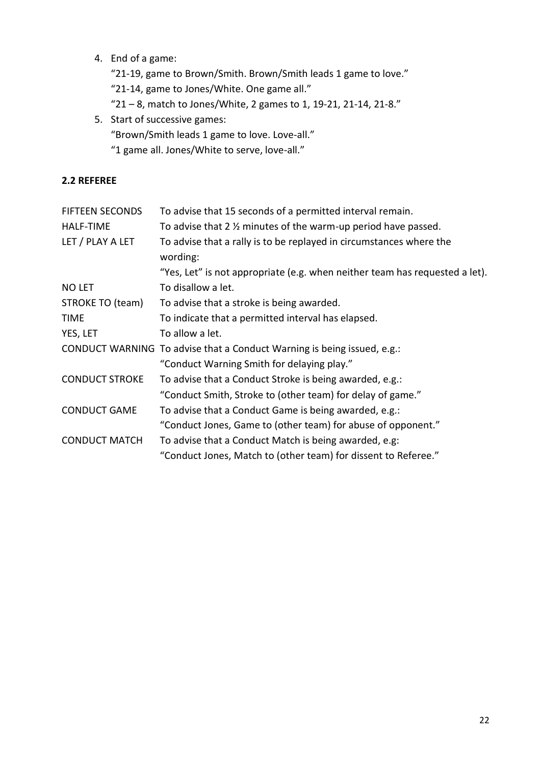4. End of a game:

"21-19, game to Brown/Smith. Brown/Smith leads 1 game to love." "21-14, game to Jones/White. One game all." "21 – 8, match to Jones/White, 2 games to 1, 19-21, 21-14, 21-8."

5. Start of successive games: "Brown/Smith leads 1 game to love. Love-all." "1 game all. Jones/White to serve, love-all."

#### **2.2 REFEREE**

| <b>FIFTEEN SECONDS</b> | To advise that 15 seconds of a permitted interval remain.                       |
|------------------------|---------------------------------------------------------------------------------|
| <b>HALF-TIME</b>       | To advise that 2 % minutes of the warm-up period have passed.                   |
| LET / PLAY A LET       | To advise that a rally is to be replayed in circumstances where the<br>wording: |
|                        | "Yes, Let" is not appropriate (e.g. when neither team has requested a let).     |
| <b>NO LET</b>          | To disallow a let.                                                              |
| STROKE TO (team)       | To advise that a stroke is being awarded.                                       |
| <b>TIME</b>            | To indicate that a permitted interval has elapsed.                              |
| YES, LET               | To allow a let.                                                                 |
|                        | CONDUCT WARNING To advise that a Conduct Warning is being issued, e.g.:         |
|                        | "Conduct Warning Smith for delaying play."                                      |
| <b>CONDUCT STROKE</b>  | To advise that a Conduct Stroke is being awarded, e.g.:                         |
|                        | "Conduct Smith, Stroke to (other team) for delay of game."                      |
| <b>CONDUCT GAME</b>    | To advise that a Conduct Game is being awarded, e.g.:                           |
|                        | "Conduct Jones, Game to (other team) for abuse of opponent."                    |
| <b>CONDUCT MATCH</b>   | To advise that a Conduct Match is being awarded, e.g:                           |
|                        | "Conduct Jones, Match to (other team) for dissent to Referee."                  |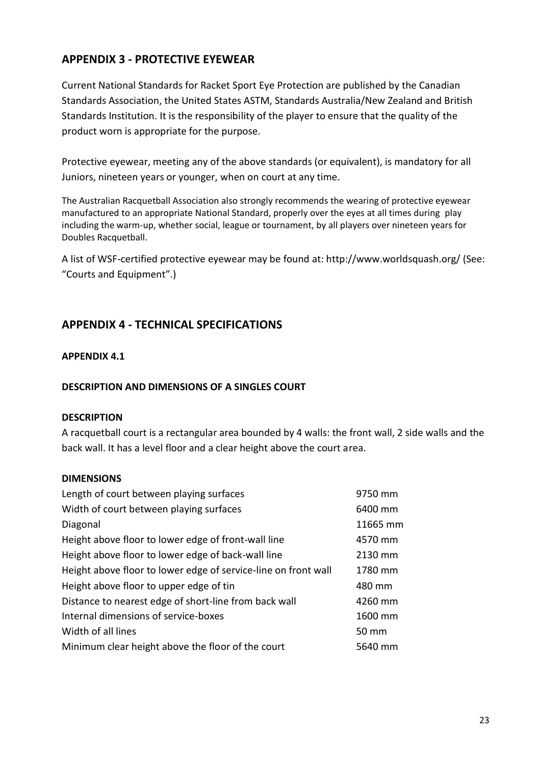# **APPENDIX 3 - PROTECTIVE EYEWEAR**

Current National Standards for Racket Sport Eye Protection are published by the Canadian Standards Association, the United States ASTM, Standards Australia/New Zealand and British Standards Institution. It is the responsibility of the player to ensure that the quality of the product worn is appropriate for the purpose.

Protective eyewear, meeting any of the above standards (or equivalent), is mandatory for all Juniors, nineteen years or younger, when on court at any time.

The Australian Racquetball Association also strongly recommends the wearing of protective eyewear manufactured to an appropriate National Standard, properly over the eyes at all times during play including the warm-up, whether social, league or tournament, by all players over nineteen years for Doubles Racquetball.

A list of WSF-certified protective eyewear may be found at: http://www.worldsquash.org/ (See: "Courts and Equipment".)

### **APPENDIX 4 - TECHNICAL SPECIFICATIONS**

#### **APPENDIX 4.1**

#### **DESCRIPTION AND DIMENSIONS OF A SINGLES COURT**

#### **DESCRIPTION**

A racquetball court is a rectangular area bounded by 4 walls: the front wall, 2 side walls and the back wall. It has a level floor and a clear height above the court area.

#### **DIMENSIONS**

| Length of court between playing surfaces                       | 9750 mm  |
|----------------------------------------------------------------|----------|
| Width of court between playing surfaces                        | 6400 mm  |
| Diagonal                                                       | 11665 mm |
| Height above floor to lower edge of front-wall line            | 4570 mm  |
| Height above floor to lower edge of back-wall line             | 2130 mm  |
| Height above floor to lower edge of service-line on front wall | 1780 mm  |
| Height above floor to upper edge of tin                        | 480 mm   |
| Distance to nearest edge of short-line from back wall          | 4260 mm  |
| Internal dimensions of service-boxes                           | 1600 mm  |
| Width of all lines                                             | 50 mm    |
| Minimum clear height above the floor of the court              | 5640 mm  |
|                                                                |          |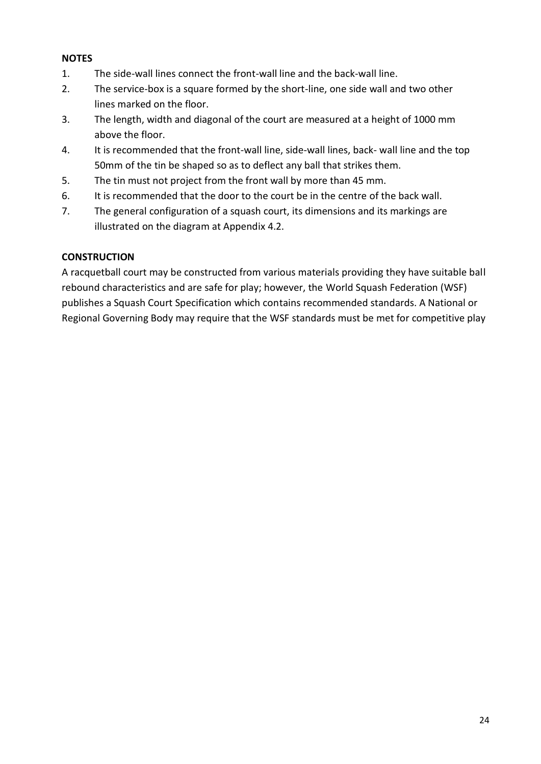#### **NOTES**

- 1. The side-wall lines connect the front-wall line and the back-wall line.
- 2. The service-box is a square formed by the short-line, one side wall and two other lines marked on the floor.
- 3. The length, width and diagonal of the court are measured at a height of 1000 mm above the floor.
- 4. It is recommended that the front-wall line, side-wall lines, back- wall line and the top 50mm of the tin be shaped so as to deflect any ball that strikes them.
- 5. The tin must not project from the front wall by more than 45 mm.
- 6. It is recommended that the door to the court be in the centre of the back wall.
- 7. The general configuration of a squash court, its dimensions and its markings are illustrated on the diagram at Appendix 4.2.

#### **CONSTRUCTION**

A racquetball court may be constructed from various materials providing they have suitable ball rebound characteristics and are safe for play; however, the World Squash Federation (WSF) publishes a Squash Court Specification which contains recommended standards. A National or Regional Governing Body may require that the WSF standards must be met for competitive play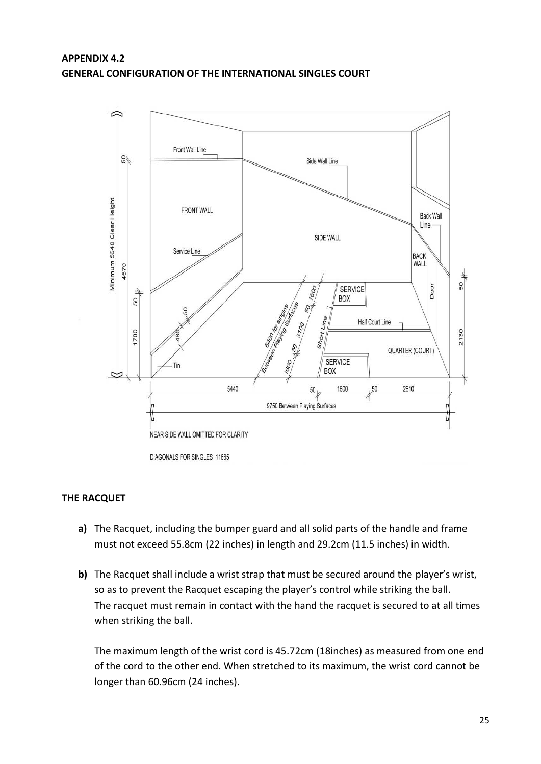### **APPENDIX 4.2 GENERAL CONFIGURATION OF THE INTERNATIONAL SINGLES COURT**



#### **THE RACQUET**

- **a)** The Racquet, including the bumper guard and all solid parts of the handle and frame must not exceed 55.8cm (22 inches) in length and 29.2cm (11.5 inches) in width.
- **b)** The Racquet shall include a wrist strap that must be secured around the player's wrist, so as to prevent the Racquet escaping the player's control while striking the ball. The racquet must remain in contact with the hand the racquet is secured to at all times when striking the ball.

The maximum length of the wrist cord is 45.72cm (18inches) as measured from one end of the cord to the other end. When stretched to its maximum, the wrist cord cannot be longer than 60.96cm (24 inches).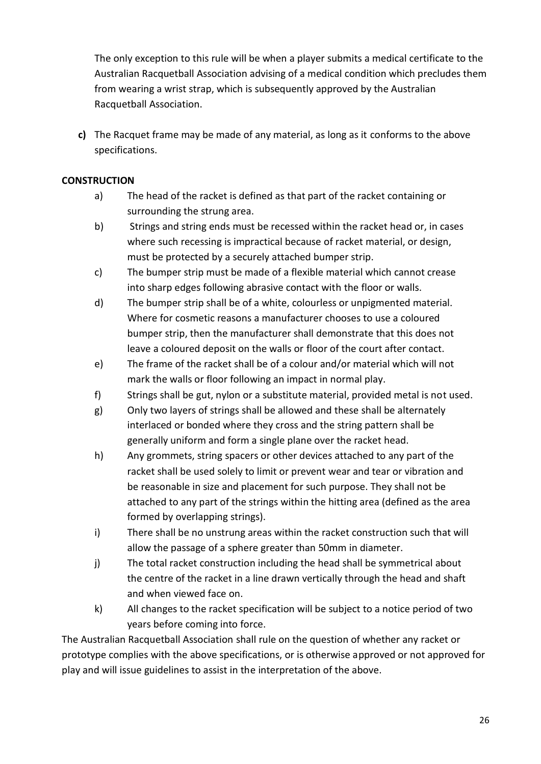The only exception to this rule will be when a player submits a medical certificate to the Australian Racquetball Association advising of a medical condition which precludes them from wearing a wrist strap, which is subsequently approved by the Australian Racquetball Association.

**c)** The Racquet frame may be made of any material, as long as it conforms to the above specifications.

#### **CONSTRUCTION**

- a) The head of the racket is defined as that part of the racket containing or surrounding the strung area.
- b) Strings and string ends must be recessed within the racket head or, in cases where such recessing is impractical because of racket material, or design, must be protected by a securely attached bumper strip.
- c) The bumper strip must be made of a flexible material which cannot crease into sharp edges following abrasive contact with the floor or walls.
- d) The bumper strip shall be of a white, colourless or unpigmented material. Where for cosmetic reasons a manufacturer chooses to use a coloured bumper strip, then the manufacturer shall demonstrate that this does not leave a coloured deposit on the walls or floor of the court after contact.
- e) The frame of the racket shall be of a colour and/or material which will not mark the walls or floor following an impact in normal play.
- f) Strings shall be gut, nylon or a substitute material, provided metal is not used.
- g) Only two layers of strings shall be allowed and these shall be alternately interlaced or bonded where they cross and the string pattern shall be generally uniform and form a single plane over the racket head.
- h) Any grommets, string spacers or other devices attached to any part of the racket shall be used solely to limit or prevent wear and tear or vibration and be reasonable in size and placement for such purpose. They shall not be attached to any part of the strings within the hitting area (defined as the area formed by overlapping strings).
- i) There shall be no unstrung areas within the racket construction such that will allow the passage of a sphere greater than 50mm in diameter.
- j) The total racket construction including the head shall be symmetrical about the centre of the racket in a line drawn vertically through the head and shaft and when viewed face on.
- k) All changes to the racket specification will be subject to a notice period of two years before coming into force.

The Australian Racquetball Association shall rule on the question of whether any racket or prototype complies with the above specifications, or is otherwise approved or not approved for play and will issue guidelines to assist in the interpretation of the above.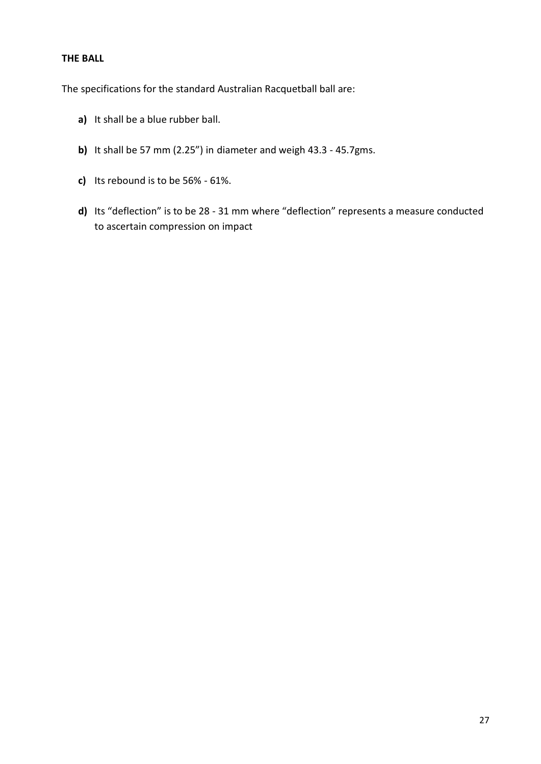#### **THE BALL**

The specifications for the standard Australian Racquetball ball are:

- **a)** It shall be a blue rubber ball.
- **b)** It shall be 57 mm (2.25") in diameter and weigh 43.3 45.7gms.
- **c)** Its rebound is to be 56% 61%.
- **d)** Its "deflection" is to be 28 31 mm where "deflection" represents a measure conducted to ascertain compression on impact